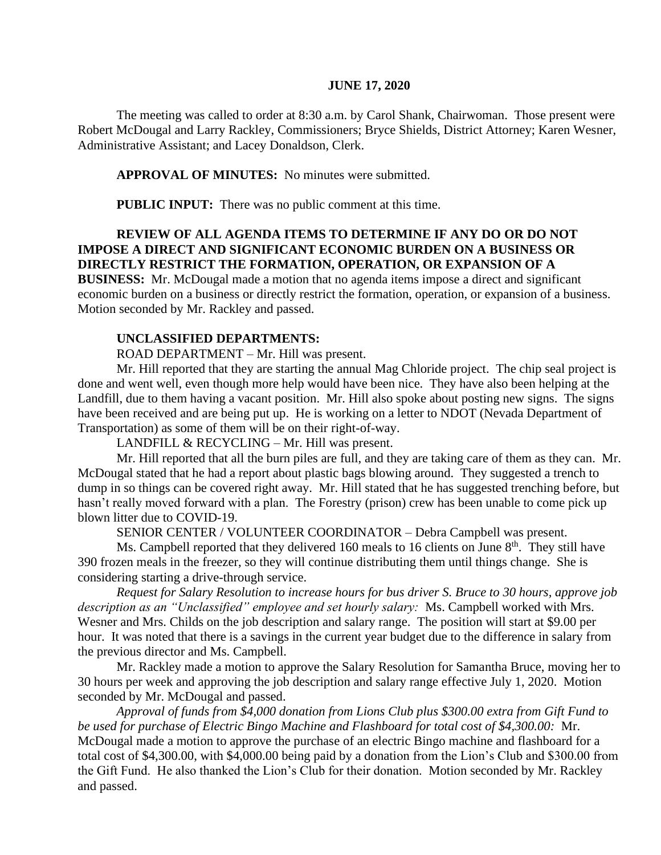#### **JUNE 17, 2020**

The meeting was called to order at 8:30 a.m. by Carol Shank, Chairwoman. Those present were Robert McDougal and Larry Rackley, Commissioners; Bryce Shields, District Attorney; Karen Wesner, Administrative Assistant; and Lacey Donaldson, Clerk.

#### **APPROVAL OF MINUTES:** No minutes were submitted.

**PUBLIC INPUT:** There was no public comment at this time.

## **REVIEW OF ALL AGENDA ITEMS TO DETERMINE IF ANY DO OR DO NOT IMPOSE A DIRECT AND SIGNIFICANT ECONOMIC BURDEN ON A BUSINESS OR DIRECTLY RESTRICT THE FORMATION, OPERATION, OR EXPANSION OF A**

**BUSINESS:** Mr. McDougal made a motion that no agenda items impose a direct and significant economic burden on a business or directly restrict the formation, operation, or expansion of a business. Motion seconded by Mr. Rackley and passed.

# **UNCLASSIFIED DEPARTMENTS:**

ROAD DEPARTMENT – Mr. Hill was present.

Mr. Hill reported that they are starting the annual Mag Chloride project. The chip seal project is done and went well, even though more help would have been nice. They have also been helping at the Landfill, due to them having a vacant position. Mr. Hill also spoke about posting new signs. The signs have been received and are being put up. He is working on a letter to NDOT (Nevada Department of Transportation) as some of them will be on their right-of-way.

LANDFILL & RECYCLING – Mr. Hill was present.

Mr. Hill reported that all the burn piles are full, and they are taking care of them as they can. Mr. McDougal stated that he had a report about plastic bags blowing around. They suggested a trench to dump in so things can be covered right away. Mr. Hill stated that he has suggested trenching before, but hasn't really moved forward with a plan. The Forestry (prison) crew has been unable to come pick up blown litter due to COVID-19.

SENIOR CENTER / VOLUNTEER COORDINATOR – Debra Campbell was present.

Ms. Campbell reported that they delivered 160 meals to 16 clients on June  $8<sup>th</sup>$ . They still have 390 frozen meals in the freezer, so they will continue distributing them until things change. She is considering starting a drive-through service.

*Request for Salary Resolution to increase hours for bus driver S. Bruce to 30 hours, approve job description as an "Unclassified" employee and set hourly salary:* Ms. Campbell worked with Mrs. Wesner and Mrs. Childs on the job description and salary range. The position will start at \$9.00 per hour. It was noted that there is a savings in the current year budget due to the difference in salary from the previous director and Ms. Campbell.

Mr. Rackley made a motion to approve the Salary Resolution for Samantha Bruce, moving her to 30 hours per week and approving the job description and salary range effective July 1, 2020. Motion seconded by Mr. McDougal and passed.

*Approval of funds from \$4,000 donation from Lions Club plus \$300.00 extra from Gift Fund to be used for purchase of Electric Bingo Machine and Flashboard for total cost of \$4,300.00:* Mr. McDougal made a motion to approve the purchase of an electric Bingo machine and flashboard for a total cost of \$4,300.00, with \$4,000.00 being paid by a donation from the Lion's Club and \$300.00 from the Gift Fund. He also thanked the Lion's Club for their donation. Motion seconded by Mr. Rackley and passed.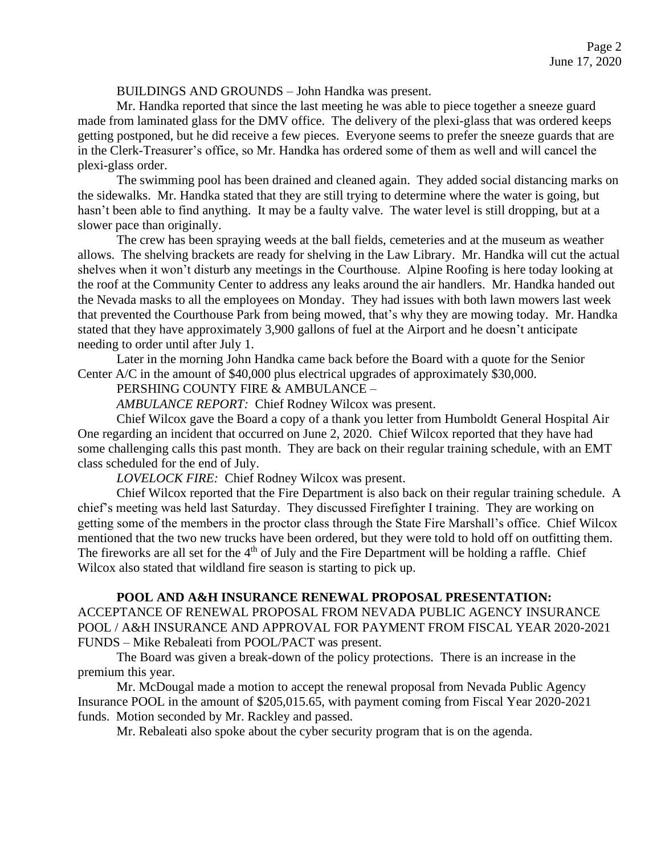BUILDINGS AND GROUNDS – John Handka was present.

Mr. Handka reported that since the last meeting he was able to piece together a sneeze guard made from laminated glass for the DMV office. The delivery of the plexi-glass that was ordered keeps getting postponed, but he did receive a few pieces. Everyone seems to prefer the sneeze guards that are in the Clerk-Treasurer's office, so Mr. Handka has ordered some of them as well and will cancel the plexi-glass order.

The swimming pool has been drained and cleaned again. They added social distancing marks on the sidewalks. Mr. Handka stated that they are still trying to determine where the water is going, but hasn't been able to find anything. It may be a faulty valve. The water level is still dropping, but at a slower pace than originally.

The crew has been spraying weeds at the ball fields, cemeteries and at the museum as weather allows. The shelving brackets are ready for shelving in the Law Library. Mr. Handka will cut the actual shelves when it won't disturb any meetings in the Courthouse. Alpine Roofing is here today looking at the roof at the Community Center to address any leaks around the air handlers. Mr. Handka handed out the Nevada masks to all the employees on Monday. They had issues with both lawn mowers last week that prevented the Courthouse Park from being mowed, that's why they are mowing today. Mr. Handka stated that they have approximately 3,900 gallons of fuel at the Airport and he doesn't anticipate needing to order until after July 1.

Later in the morning John Handka came back before the Board with a quote for the Senior Center A/C in the amount of \$40,000 plus electrical upgrades of approximately \$30,000.

PERSHING COUNTY FIRE & AMBULANCE –

*AMBULANCE REPORT:* Chief Rodney Wilcox was present.

Chief Wilcox gave the Board a copy of a thank you letter from Humboldt General Hospital Air One regarding an incident that occurred on June 2, 2020. Chief Wilcox reported that they have had some challenging calls this past month. They are back on their regular training schedule, with an EMT class scheduled for the end of July.

*LOVELOCK FIRE:* Chief Rodney Wilcox was present.

Chief Wilcox reported that the Fire Department is also back on their regular training schedule. A chief's meeting was held last Saturday. They discussed Firefighter I training. They are working on getting some of the members in the proctor class through the State Fire Marshall's office. Chief Wilcox mentioned that the two new trucks have been ordered, but they were told to hold off on outfitting them. The fireworks are all set for the  $4<sup>th</sup>$  of July and the Fire Department will be holding a raffle. Chief Wilcox also stated that wildland fire season is starting to pick up.

## **POOL AND A&H INSURANCE RENEWAL PROPOSAL PRESENTATION:**

ACCEPTANCE OF RENEWAL PROPOSAL FROM NEVADA PUBLIC AGENCY INSURANCE POOL / A&H INSURANCE AND APPROVAL FOR PAYMENT FROM FISCAL YEAR 2020-2021 FUNDS – Mike Rebaleati from POOL/PACT was present.

The Board was given a break-down of the policy protections. There is an increase in the premium this year.

Mr. McDougal made a motion to accept the renewal proposal from Nevada Public Agency Insurance POOL in the amount of \$205,015.65, with payment coming from Fiscal Year 2020-2021 funds. Motion seconded by Mr. Rackley and passed.

Mr. Rebaleati also spoke about the cyber security program that is on the agenda.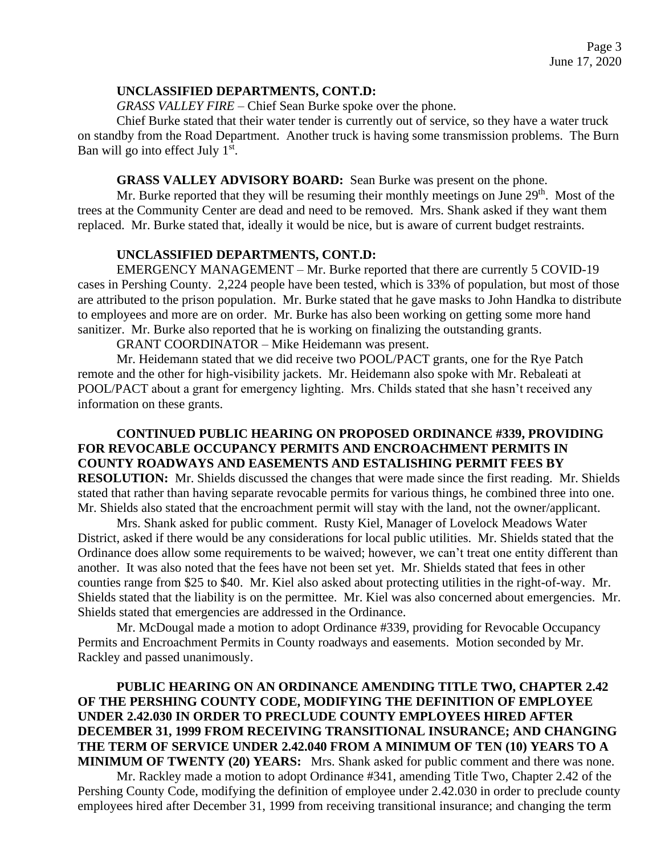#### **UNCLASSIFIED DEPARTMENTS, CONT.D:**

*GRASS VALLEY FIRE –* Chief Sean Burke spoke over the phone.

Chief Burke stated that their water tender is currently out of service, so they have a water truck on standby from the Road Department. Another truck is having some transmission problems. The Burn Ban will go into effect July 1<sup>st</sup>.

## **GRASS VALLEY ADVISORY BOARD:** Sean Burke was present on the phone.

Mr. Burke reported that they will be resuming their monthly meetings on June  $29<sup>th</sup>$ . Most of the trees at the Community Center are dead and need to be removed. Mrs. Shank asked if they want them replaced. Mr. Burke stated that, ideally it would be nice, but is aware of current budget restraints.

## **UNCLASSIFIED DEPARTMENTS, CONT.D:**

EMERGENCY MANAGEMENT – Mr. Burke reported that there are currently 5 COVID-19 cases in Pershing County. 2,224 people have been tested, which is 33% of population, but most of those are attributed to the prison population. Mr. Burke stated that he gave masks to John Handka to distribute to employees and more are on order. Mr. Burke has also been working on getting some more hand sanitizer. Mr. Burke also reported that he is working on finalizing the outstanding grants.

GRANT COORDINATOR – Mike Heidemann was present.

Mr. Heidemann stated that we did receive two POOL/PACT grants, one for the Rye Patch remote and the other for high-visibility jackets. Mr. Heidemann also spoke with Mr. Rebaleati at POOL/PACT about a grant for emergency lighting. Mrs. Childs stated that she hasn't received any information on these grants.

**CONTINUED PUBLIC HEARING ON PROPOSED ORDINANCE #339, PROVIDING FOR REVOCABLE OCCUPANCY PERMITS AND ENCROACHMENT PERMITS IN COUNTY ROADWAYS AND EASEMENTS AND ESTALISHING PERMIT FEES BY RESOLUTION:** Mr. Shields discussed the changes that were made since the first reading. Mr. Shields stated that rather than having separate revocable permits for various things, he combined three into one. Mr. Shields also stated that the encroachment permit will stay with the land, not the owner/applicant.

Mrs. Shank asked for public comment. Rusty Kiel, Manager of Lovelock Meadows Water District, asked if there would be any considerations for local public utilities. Mr. Shields stated that the Ordinance does allow some requirements to be waived; however, we can't treat one entity different than another. It was also noted that the fees have not been set yet. Mr. Shields stated that fees in other counties range from \$25 to \$40. Mr. Kiel also asked about protecting utilities in the right-of-way. Mr. Shields stated that the liability is on the permittee. Mr. Kiel was also concerned about emergencies. Mr. Shields stated that emergencies are addressed in the Ordinance.

Mr. McDougal made a motion to adopt Ordinance #339, providing for Revocable Occupancy Permits and Encroachment Permits in County roadways and easements. Motion seconded by Mr. Rackley and passed unanimously.

# **PUBLIC HEARING ON AN ORDINANCE AMENDING TITLE TWO, CHAPTER 2.42 OF THE PERSHING COUNTY CODE, MODIFYING THE DEFINITION OF EMPLOYEE UNDER 2.42.030 IN ORDER TO PRECLUDE COUNTY EMPLOYEES HIRED AFTER DECEMBER 31, 1999 FROM RECEIVING TRANSITIONAL INSURANCE; AND CHANGING THE TERM OF SERVICE UNDER 2.42.040 FROM A MINIMUM OF TEN (10) YEARS TO A MINIMUM OF TWENTY (20) YEARS:** Mrs. Shank asked for public comment and there was none.

Mr. Rackley made a motion to adopt Ordinance #341, amending Title Two, Chapter 2.42 of the Pershing County Code, modifying the definition of employee under 2.42.030 in order to preclude county employees hired after December 31, 1999 from receiving transitional insurance; and changing the term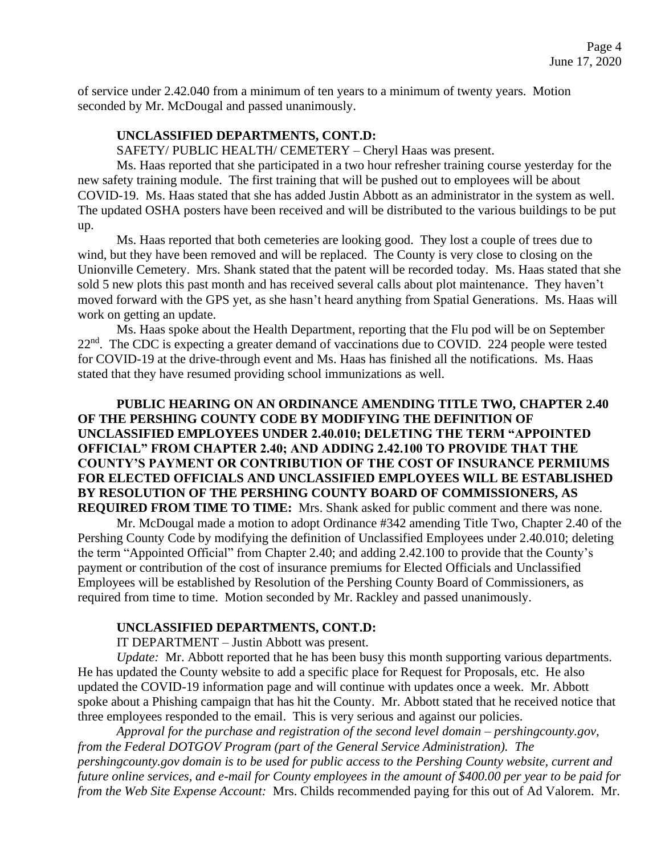of service under 2.42.040 from a minimum of ten years to a minimum of twenty years. Motion seconded by Mr. McDougal and passed unanimously.

#### **UNCLASSIFIED DEPARTMENTS, CONT.D:**

SAFETY/ PUBLIC HEALTH/ CEMETERY – Cheryl Haas was present.

Ms. Haas reported that she participated in a two hour refresher training course yesterday for the new safety training module. The first training that will be pushed out to employees will be about COVID-19. Ms. Haas stated that she has added Justin Abbott as an administrator in the system as well. The updated OSHA posters have been received and will be distributed to the various buildings to be put up.

Ms. Haas reported that both cemeteries are looking good. They lost a couple of trees due to wind, but they have been removed and will be replaced. The County is very close to closing on the Unionville Cemetery. Mrs. Shank stated that the patent will be recorded today. Ms. Haas stated that she sold 5 new plots this past month and has received several calls about plot maintenance. They haven't moved forward with the GPS yet, as she hasn't heard anything from Spatial Generations. Ms. Haas will work on getting an update.

Ms. Haas spoke about the Health Department, reporting that the Flu pod will be on September 22<sup>nd</sup>. The CDC is expecting a greater demand of vaccinations due to COVID. 224 people were tested for COVID-19 at the drive-through event and Ms. Haas has finished all the notifications. Ms. Haas stated that they have resumed providing school immunizations as well.

## **PUBLIC HEARING ON AN ORDINANCE AMENDING TITLE TWO, CHAPTER 2.40 OF THE PERSHING COUNTY CODE BY MODIFYING THE DEFINITION OF UNCLASSIFIED EMPLOYEES UNDER 2.40.010; DELETING THE TERM "APPOINTED OFFICIAL" FROM CHAPTER 2.40; AND ADDING 2.42.100 TO PROVIDE THAT THE COUNTY'S PAYMENT OR CONTRIBUTION OF THE COST OF INSURANCE PERMIUMS FOR ELECTED OFFICIALS AND UNCLASSIFIED EMPLOYEES WILL BE ESTABLISHED BY RESOLUTION OF THE PERSHING COUNTY BOARD OF COMMISSIONERS, AS REQUIRED FROM TIME TO TIME:** Mrs. Shank asked for public comment and there was none.

Mr. McDougal made a motion to adopt Ordinance #342 amending Title Two, Chapter 2.40 of the Pershing County Code by modifying the definition of Unclassified Employees under 2.40.010; deleting the term "Appointed Official" from Chapter 2.40; and adding 2.42.100 to provide that the County's payment or contribution of the cost of insurance premiums for Elected Officials and Unclassified Employees will be established by Resolution of the Pershing County Board of Commissioners, as required from time to time. Motion seconded by Mr. Rackley and passed unanimously.

#### **UNCLASSIFIED DEPARTMENTS, CONT.D:**

IT DEPARTMENT – Justin Abbott was present.

*Update:* Mr. Abbott reported that he has been busy this month supporting various departments. He has updated the County website to add a specific place for Request for Proposals, etc. He also updated the COVID-19 information page and will continue with updates once a week. Mr. Abbott spoke about a Phishing campaign that has hit the County. Mr. Abbott stated that he received notice that three employees responded to the email. This is very serious and against our policies.

*Approval for the purchase and registration of the second level domain – pershingcounty.gov, from the Federal DOTGOV Program (part of the General Service Administration). The pershingcounty.gov domain is to be used for public access to the Pershing County website, current and future online services, and e-mail for County employees in the amount of \$400.00 per year to be paid for from the Web Site Expense Account:* Mrs. Childs recommended paying for this out of Ad Valorem. Mr.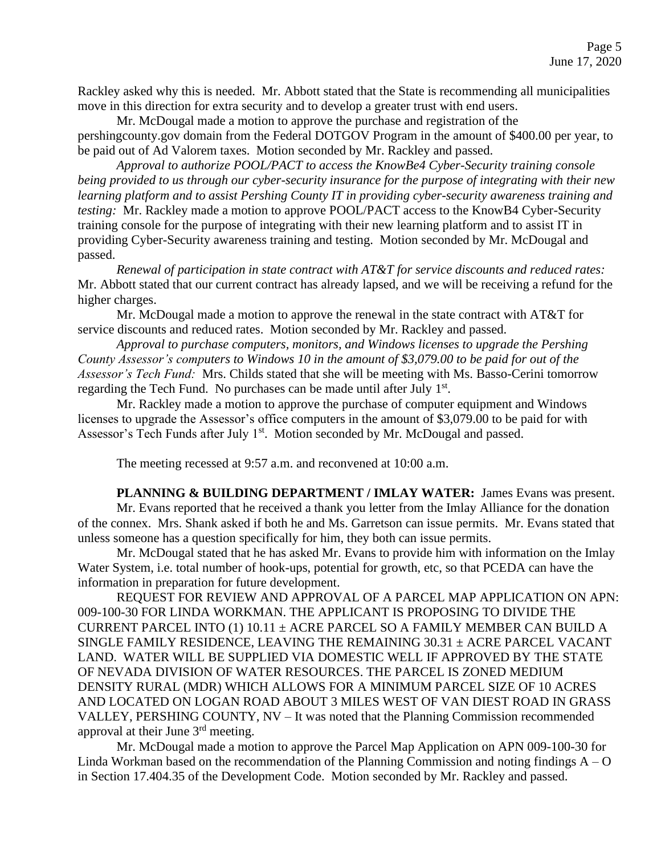Rackley asked why this is needed. Mr. Abbott stated that the State is recommending all municipalities move in this direction for extra security and to develop a greater trust with end users.

Mr. McDougal made a motion to approve the purchase and registration of the pershingcounty.gov domain from the Federal DOTGOV Program in the amount of \$400.00 per year, to

be paid out of Ad Valorem taxes. Motion seconded by Mr. Rackley and passed.

*Approval to authorize POOL/PACT to access the KnowBe4 Cyber-Security training console being provided to us through our cyber-security insurance for the purpose of integrating with their new learning platform and to assist Pershing County IT in providing cyber-security awareness training and testing:* Mr. Rackley made a motion to approve POOL/PACT access to the KnowB4 Cyber-Security training console for the purpose of integrating with their new learning platform and to assist IT in providing Cyber-Security awareness training and testing. Motion seconded by Mr. McDougal and passed.

*Renewal of participation in state contract with AT&T for service discounts and reduced rates:*  Mr. Abbott stated that our current contract has already lapsed, and we will be receiving a refund for the higher charges.

Mr. McDougal made a motion to approve the renewal in the state contract with AT&T for service discounts and reduced rates. Motion seconded by Mr. Rackley and passed.

*Approval to purchase computers, monitors, and Windows licenses to upgrade the Pershing County Assessor's computers to Windows 10 in the amount of \$3,079.00 to be paid for out of the Assessor's Tech Fund:* Mrs. Childs stated that she will be meeting with Ms. Basso-Cerini tomorrow regarding the Tech Fund. No purchases can be made until after July 1<sup>st</sup>.

Mr. Rackley made a motion to approve the purchase of computer equipment and Windows licenses to upgrade the Assessor's office computers in the amount of \$3,079.00 to be paid for with Assessor's Tech Funds after July 1<sup>st</sup>. Motion seconded by Mr. McDougal and passed.

The meeting recessed at 9:57 a.m. and reconvened at 10:00 a.m.

PLANNING & BUILDING DEPARTMENT / IMLAY WATER: James Evans was present. Mr. Evans reported that he received a thank you letter from the Imlay Alliance for the donation of the connex. Mrs. Shank asked if both he and Ms. Garretson can issue permits. Mr. Evans stated that unless someone has a question specifically for him, they both can issue permits.

Mr. McDougal stated that he has asked Mr. Evans to provide him with information on the Imlay Water System, i.e. total number of hook-ups, potential for growth, etc, so that PCEDA can have the information in preparation for future development.

REQUEST FOR REVIEW AND APPROVAL OF A PARCEL MAP APPLICATION ON APN: 009-100-30 FOR LINDA WORKMAN. THE APPLICANT IS PROPOSING TO DIVIDE THE CURRENT PARCEL INTO (1)  $10.11 \pm$  ACRE PARCEL SO A FAMILY MEMBER CAN BUILD A SINGLE FAMILY RESIDENCE, LEAVING THE REMAINING 30.31 ± ACRE PARCEL VACANT LAND. WATER WILL BE SUPPLIED VIA DOMESTIC WELL IF APPROVED BY THE STATE OF NEVADA DIVISION OF WATER RESOURCES. THE PARCEL IS ZONED MEDIUM DENSITY RURAL (MDR) WHICH ALLOWS FOR A MINIMUM PARCEL SIZE OF 10 ACRES AND LOCATED ON LOGAN ROAD ABOUT 3 MILES WEST OF VAN DIEST ROAD IN GRASS VALLEY, PERSHING COUNTY, NV – It was noted that the Planning Commission recommended approval at their June 3rd meeting.

Mr. McDougal made a motion to approve the Parcel Map Application on APN 009-100-30 for Linda Workman based on the recommendation of the Planning Commission and noting findings  $A - O$ in Section 17.404.35 of the Development Code. Motion seconded by Mr. Rackley and passed.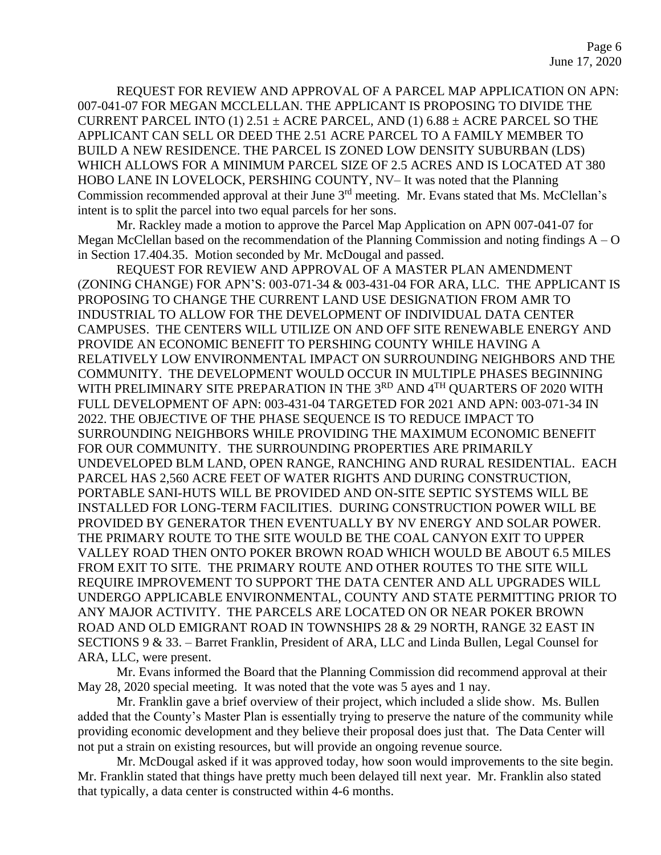REQUEST FOR REVIEW AND APPROVAL OF A PARCEL MAP APPLICATION ON APN: 007-041-07 FOR MEGAN MCCLELLAN. THE APPLICANT IS PROPOSING TO DIVIDE THE CURRENT PARCEL INTO (1)  $2.51 \pm$  ACRE PARCEL, AND (1)  $6.88 \pm$  ACRE PARCEL SO THE APPLICANT CAN SELL OR DEED THE 2.51 ACRE PARCEL TO A FAMILY MEMBER TO BUILD A NEW RESIDENCE. THE PARCEL IS ZONED LOW DENSITY SUBURBAN (LDS) WHICH ALLOWS FOR A MINIMUM PARCEL SIZE OF 2.5 ACRES AND IS LOCATED AT 380 HOBO LANE IN LOVELOCK, PERSHING COUNTY, NV– It was noted that the Planning Commission recommended approval at their June 3<sup>rd</sup> meeting. Mr. Evans stated that Ms. McClellan's intent is to split the parcel into two equal parcels for her sons.

Mr. Rackley made a motion to approve the Parcel Map Application on APN 007-041-07 for Megan McClellan based on the recommendation of the Planning Commission and noting findings  $A - O$ in Section 17.404.35. Motion seconded by Mr. McDougal and passed.

REQUEST FOR REVIEW AND APPROVAL OF A MASTER PLAN AMENDMENT (ZONING CHANGE) FOR APN'S: 003-071-34 & 003-431-04 FOR ARA, LLC. THE APPLICANT IS PROPOSING TO CHANGE THE CURRENT LAND USE DESIGNATION FROM AMR TO INDUSTRIAL TO ALLOW FOR THE DEVELOPMENT OF INDIVIDUAL DATA CENTER CAMPUSES. THE CENTERS WILL UTILIZE ON AND OFF SITE RENEWABLE ENERGY AND PROVIDE AN ECONOMIC BENEFIT TO PERSHING COUNTY WHILE HAVING A RELATIVELY LOW ENVIRONMENTAL IMPACT ON SURROUNDING NEIGHBORS AND THE COMMUNITY. THE DEVELOPMENT WOULD OCCUR IN MULTIPLE PHASES BEGINNING WITH PRELIMINARY SITE PREPARATION IN THE 3<sup>RD</sup> AND 4<sup>TH</sup> QUARTERS OF 2020 WITH FULL DEVELOPMENT OF APN: 003-431-04 TARGETED FOR 2021 AND APN: 003-071-34 IN 2022. THE OBJECTIVE OF THE PHASE SEQUENCE IS TO REDUCE IMPACT TO SURROUNDING NEIGHBORS WHILE PROVIDING THE MAXIMUM ECONOMIC BENEFIT FOR OUR COMMUNITY. THE SURROUNDING PROPERTIES ARE PRIMARILY UNDEVELOPED BLM LAND, OPEN RANGE, RANCHING AND RURAL RESIDENTIAL. EACH PARCEL HAS 2,560 ACRE FEET OF WATER RIGHTS AND DURING CONSTRUCTION, PORTABLE SANI-HUTS WILL BE PROVIDED AND ON-SITE SEPTIC SYSTEMS WILL BE INSTALLED FOR LONG-TERM FACILITIES. DURING CONSTRUCTION POWER WILL BE PROVIDED BY GENERATOR THEN EVENTUALLY BY NV ENERGY AND SOLAR POWER. THE PRIMARY ROUTE TO THE SITE WOULD BE THE COAL CANYON EXIT TO UPPER VALLEY ROAD THEN ONTO POKER BROWN ROAD WHICH WOULD BE ABOUT 6.5 MILES FROM EXIT TO SITE. THE PRIMARY ROUTE AND OTHER ROUTES TO THE SITE WILL REQUIRE IMPROVEMENT TO SUPPORT THE DATA CENTER AND ALL UPGRADES WILL UNDERGO APPLICABLE ENVIRONMENTAL, COUNTY AND STATE PERMITTING PRIOR TO ANY MAJOR ACTIVITY. THE PARCELS ARE LOCATED ON OR NEAR POKER BROWN ROAD AND OLD EMIGRANT ROAD IN TOWNSHIPS 28 & 29 NORTH, RANGE 32 EAST IN SECTIONS 9 & 33. – Barret Franklin, President of ARA, LLC and Linda Bullen, Legal Counsel for ARA, LLC, were present.

Mr. Evans informed the Board that the Planning Commission did recommend approval at their May 28, 2020 special meeting. It was noted that the vote was 5 ayes and 1 nay.

Mr. Franklin gave a brief overview of their project, which included a slide show. Ms. Bullen added that the County's Master Plan is essentially trying to preserve the nature of the community while providing economic development and they believe their proposal does just that. The Data Center will not put a strain on existing resources, but will provide an ongoing revenue source.

Mr. McDougal asked if it was approved today, how soon would improvements to the site begin. Mr. Franklin stated that things have pretty much been delayed till next year. Mr. Franklin also stated that typically, a data center is constructed within 4-6 months.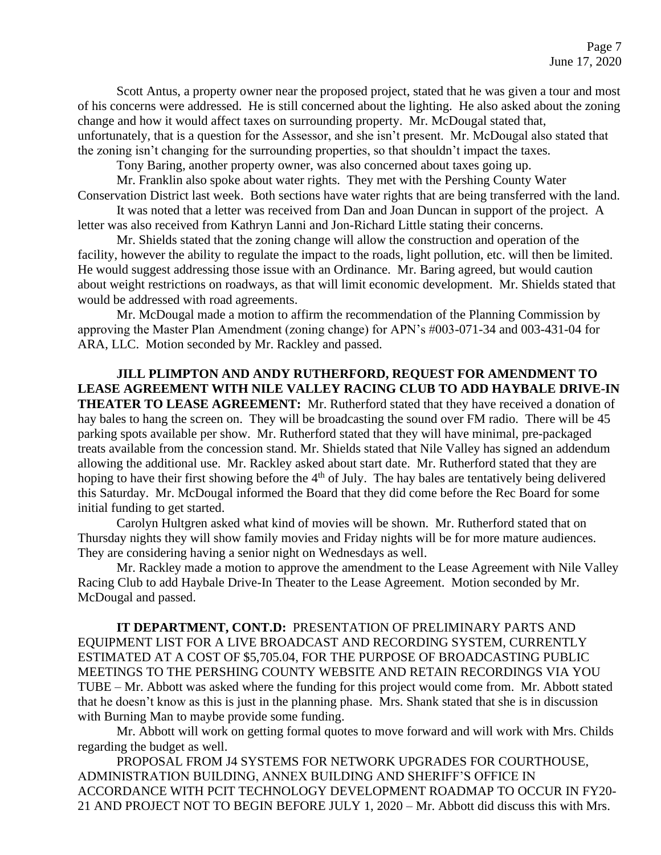Scott Antus, a property owner near the proposed project, stated that he was given a tour and most of his concerns were addressed. He is still concerned about the lighting. He also asked about the zoning change and how it would affect taxes on surrounding property. Mr. McDougal stated that, unfortunately, that is a question for the Assessor, and she isn't present. Mr. McDougal also stated that the zoning isn't changing for the surrounding properties, so that shouldn't impact the taxes.

Tony Baring, another property owner, was also concerned about taxes going up.

Mr. Franklin also spoke about water rights. They met with the Pershing County Water Conservation District last week. Both sections have water rights that are being transferred with the land.

It was noted that a letter was received from Dan and Joan Duncan in support of the project. A letter was also received from Kathryn Lanni and Jon-Richard Little stating their concerns.

Mr. Shields stated that the zoning change will allow the construction and operation of the facility, however the ability to regulate the impact to the roads, light pollution, etc. will then be limited. He would suggest addressing those issue with an Ordinance. Mr. Baring agreed, but would caution about weight restrictions on roadways, as that will limit economic development. Mr. Shields stated that would be addressed with road agreements.

Mr. McDougal made a motion to affirm the recommendation of the Planning Commission by approving the Master Plan Amendment (zoning change) for APN's #003-071-34 and 003-431-04 for ARA, LLC. Motion seconded by Mr. Rackley and passed.

**JILL PLIMPTON AND ANDY RUTHERFORD, REQUEST FOR AMENDMENT TO LEASE AGREEMENT WITH NILE VALLEY RACING CLUB TO ADD HAYBALE DRIVE-IN THEATER TO LEASE AGREEMENT:** Mr. Rutherford stated that they have received a donation of hay bales to hang the screen on. They will be broadcasting the sound over FM radio. There will be 45 parking spots available per show. Mr. Rutherford stated that they will have minimal, pre-packaged treats available from the concession stand. Mr. Shields stated that Nile Valley has signed an addendum allowing the additional use. Mr. Rackley asked about start date. Mr. Rutherford stated that they are hoping to have their first showing before the 4<sup>th</sup> of July. The hay bales are tentatively being delivered this Saturday. Mr. McDougal informed the Board that they did come before the Rec Board for some initial funding to get started.

Carolyn Hultgren asked what kind of movies will be shown. Mr. Rutherford stated that on Thursday nights they will show family movies and Friday nights will be for more mature audiences. They are considering having a senior night on Wednesdays as well.

Mr. Rackley made a motion to approve the amendment to the Lease Agreement with Nile Valley Racing Club to add Haybale Drive-In Theater to the Lease Agreement. Motion seconded by Mr. McDougal and passed.

**IT DEPARTMENT, CONT.D:** PRESENTATION OF PRELIMINARY PARTS AND EQUIPMENT LIST FOR A LIVE BROADCAST AND RECORDING SYSTEM, CURRENTLY ESTIMATED AT A COST OF \$5,705.04, FOR THE PURPOSE OF BROADCASTING PUBLIC MEETINGS TO THE PERSHING COUNTY WEBSITE AND RETAIN RECORDINGS VIA YOU TUBE – Mr. Abbott was asked where the funding for this project would come from. Mr. Abbott stated that he doesn't know as this is just in the planning phase. Mrs. Shank stated that she is in discussion with Burning Man to maybe provide some funding.

Mr. Abbott will work on getting formal quotes to move forward and will work with Mrs. Childs regarding the budget as well.

PROPOSAL FROM J4 SYSTEMS FOR NETWORK UPGRADES FOR COURTHOUSE, ADMINISTRATION BUILDING, ANNEX BUILDING AND SHERIFF'S OFFICE IN ACCORDANCE WITH PCIT TECHNOLOGY DEVELOPMENT ROADMAP TO OCCUR IN FY20- 21 AND PROJECT NOT TO BEGIN BEFORE JULY 1, 2020 – Mr. Abbott did discuss this with Mrs.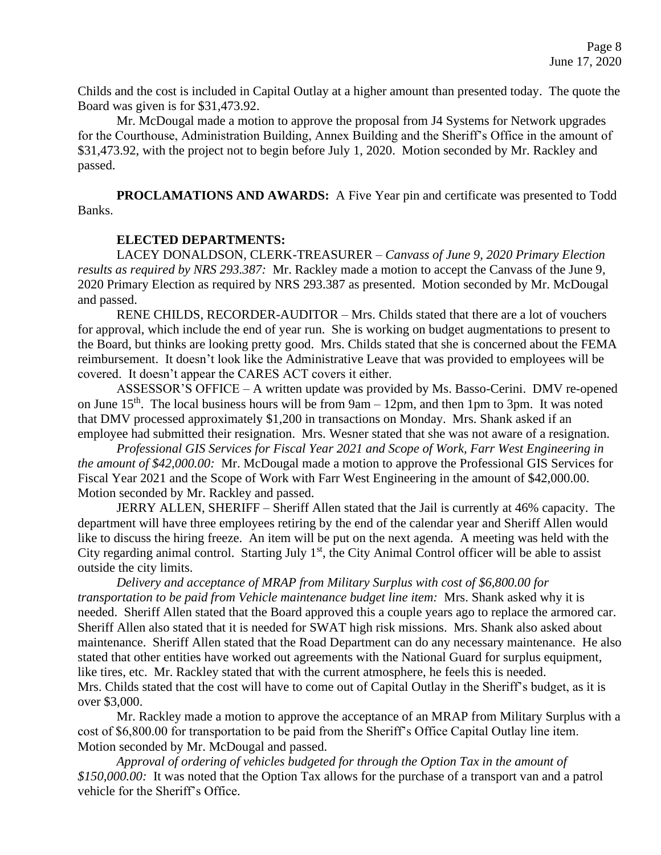Childs and the cost is included in Capital Outlay at a higher amount than presented today. The quote the Board was given is for \$31,473.92.

Mr. McDougal made a motion to approve the proposal from J4 Systems for Network upgrades for the Courthouse, Administration Building, Annex Building and the Sheriff's Office in the amount of \$31,473.92, with the project not to begin before July 1, 2020. Motion seconded by Mr. Rackley and passed.

**PROCLAMATIONS AND AWARDS:** A Five Year pin and certificate was presented to Todd Banks.

## **ELECTED DEPARTMENTS:**

LACEY DONALDSON, CLERK-TREASURER – *Canvass of June 9, 2020 Primary Election results as required by NRS 293.387:* Mr. Rackley made a motion to accept the Canvass of the June 9, 2020 Primary Election as required by NRS 293.387 as presented. Motion seconded by Mr. McDougal and passed.

RENE CHILDS, RECORDER-AUDITOR – Mrs. Childs stated that there are a lot of vouchers for approval, which include the end of year run. She is working on budget augmentations to present to the Board, but thinks are looking pretty good. Mrs. Childs stated that she is concerned about the FEMA reimbursement. It doesn't look like the Administrative Leave that was provided to employees will be covered. It doesn't appear the CARES ACT covers it either.

ASSESSOR'S OFFICE – A written update was provided by Ms. Basso-Cerini. DMV re-opened on June  $15<sup>th</sup>$ . The local business hours will be from  $9am - 12pm$ , and then 1pm to 3pm. It was noted that DMV processed approximately \$1,200 in transactions on Monday. Mrs. Shank asked if an employee had submitted their resignation. Mrs. Wesner stated that she was not aware of a resignation.

*Professional GIS Services for Fiscal Year 2021 and Scope of Work, Farr West Engineering in the amount of \$42,000.00:* Mr. McDougal made a motion to approve the Professional GIS Services for Fiscal Year 2021 and the Scope of Work with Farr West Engineering in the amount of \$42,000.00. Motion seconded by Mr. Rackley and passed.

JERRY ALLEN, SHERIFF – Sheriff Allen stated that the Jail is currently at 46% capacity. The department will have three employees retiring by the end of the calendar year and Sheriff Allen would like to discuss the hiring freeze. An item will be put on the next agenda. A meeting was held with the City regarding animal control. Starting July  $1<sup>st</sup>$ , the City Animal Control officer will be able to assist outside the city limits.

*Delivery and acceptance of MRAP from Military Surplus with cost of \$6,800.00 for transportation to be paid from Vehicle maintenance budget line item:* Mrs. Shank asked why it is needed. Sheriff Allen stated that the Board approved this a couple years ago to replace the armored car. Sheriff Allen also stated that it is needed for SWAT high risk missions. Mrs. Shank also asked about maintenance. Sheriff Allen stated that the Road Department can do any necessary maintenance. He also stated that other entities have worked out agreements with the National Guard for surplus equipment, like tires, etc. Mr. Rackley stated that with the current atmosphere, he feels this is needed. Mrs. Childs stated that the cost will have to come out of Capital Outlay in the Sheriff's budget, as it is over \$3,000.

Mr. Rackley made a motion to approve the acceptance of an MRAP from Military Surplus with a cost of \$6,800.00 for transportation to be paid from the Sheriff's Office Capital Outlay line item. Motion seconded by Mr. McDougal and passed.

*Approval of ordering of vehicles budgeted for through the Option Tax in the amount of \$150,000.00:* It was noted that the Option Tax allows for the purchase of a transport van and a patrol vehicle for the Sheriff's Office.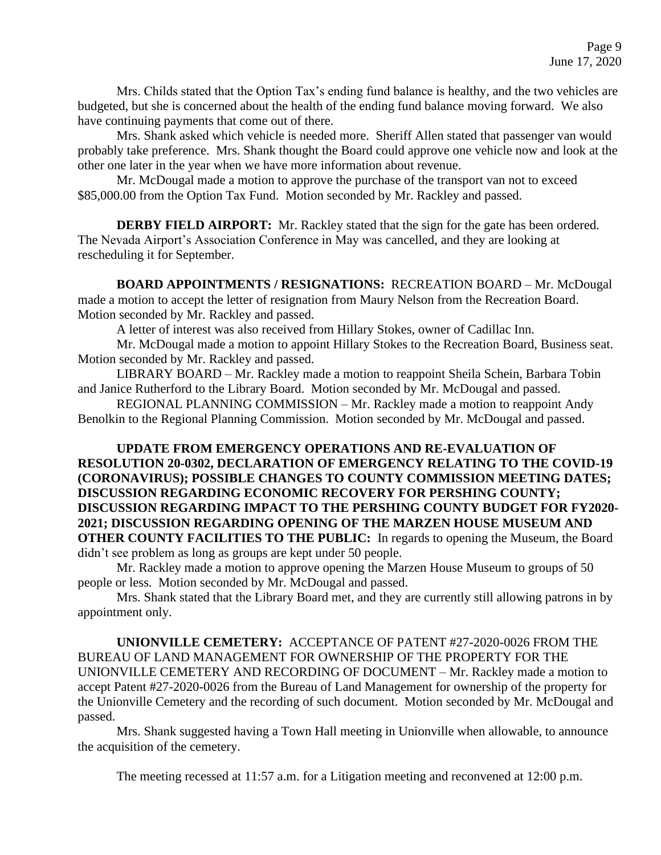Mrs. Childs stated that the Option Tax's ending fund balance is healthy, and the two vehicles are budgeted, but she is concerned about the health of the ending fund balance moving forward. We also have continuing payments that come out of there.

Mrs. Shank asked which vehicle is needed more. Sheriff Allen stated that passenger van would probably take preference. Mrs. Shank thought the Board could approve one vehicle now and look at the other one later in the year when we have more information about revenue.

Mr. McDougal made a motion to approve the purchase of the transport van not to exceed \$85,000.00 from the Option Tax Fund. Motion seconded by Mr. Rackley and passed.

**DERBY FIELD AIRPORT:** Mr. Rackley stated that the sign for the gate has been ordered. The Nevada Airport's Association Conference in May was cancelled, and they are looking at rescheduling it for September.

**BOARD APPOINTMENTS / RESIGNATIONS:** RECREATION BOARD – Mr. McDougal made a motion to accept the letter of resignation from Maury Nelson from the Recreation Board. Motion seconded by Mr. Rackley and passed.

A letter of interest was also received from Hillary Stokes, owner of Cadillac Inn.

Mr. McDougal made a motion to appoint Hillary Stokes to the Recreation Board, Business seat. Motion seconded by Mr. Rackley and passed.

LIBRARY BOARD – Mr. Rackley made a motion to reappoint Sheila Schein, Barbara Tobin and Janice Rutherford to the Library Board. Motion seconded by Mr. McDougal and passed.

REGIONAL PLANNING COMMISSION – Mr. Rackley made a motion to reappoint Andy Benolkin to the Regional Planning Commission. Motion seconded by Mr. McDougal and passed.

**UPDATE FROM EMERGENCY OPERATIONS AND RE-EVALUATION OF RESOLUTION 20-0302, DECLARATION OF EMERGENCY RELATING TO THE COVID-19 (CORONAVIRUS); POSSIBLE CHANGES TO COUNTY COMMISSION MEETING DATES; DISCUSSION REGARDING ECONOMIC RECOVERY FOR PERSHING COUNTY; DISCUSSION REGARDING IMPACT TO THE PERSHING COUNTY BUDGET FOR FY2020- 2021; DISCUSSION REGARDING OPENING OF THE MARZEN HOUSE MUSEUM AND OTHER COUNTY FACILITIES TO THE PUBLIC:** In regards to opening the Museum, the Board didn't see problem as long as groups are kept under 50 people.

Mr. Rackley made a motion to approve opening the Marzen House Museum to groups of 50 people or less. Motion seconded by Mr. McDougal and passed.

Mrs. Shank stated that the Library Board met, and they are currently still allowing patrons in by appointment only.

**UNIONVILLE CEMETERY:** ACCEPTANCE OF PATENT #27-2020-0026 FROM THE BUREAU OF LAND MANAGEMENT FOR OWNERSHIP OF THE PROPERTY FOR THE UNIONVILLE CEMETERY AND RECORDING OF DOCUMENT – Mr. Rackley made a motion to accept Patent #27-2020-0026 from the Bureau of Land Management for ownership of the property for the Unionville Cemetery and the recording of such document. Motion seconded by Mr. McDougal and passed.

Mrs. Shank suggested having a Town Hall meeting in Unionville when allowable, to announce the acquisition of the cemetery.

The meeting recessed at 11:57 a.m. for a Litigation meeting and reconvened at 12:00 p.m.